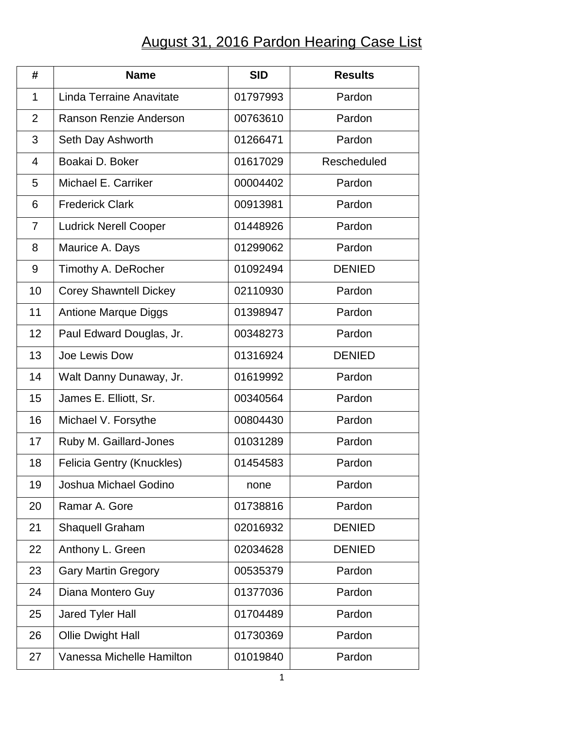## August 31, 2016 Pardon Hearing Case List

| #              | <b>Name</b>                   | <b>SID</b> | <b>Results</b> |
|----------------|-------------------------------|------------|----------------|
| 1              | Linda Terraine Anavitate      | 01797993   | Pardon         |
| $\overline{2}$ | Ranson Renzie Anderson        | 00763610   | Pardon         |
| 3              | Seth Day Ashworth             | 01266471   | Pardon         |
| 4              | Boakai D. Boker               | 01617029   | Rescheduled    |
| 5              | Michael E. Carriker           | 00004402   | Pardon         |
| 6              | <b>Frederick Clark</b>        | 00913981   | Pardon         |
| $\overline{7}$ | <b>Ludrick Nerell Cooper</b>  | 01448926   | Pardon         |
| 8              | Maurice A. Days               | 01299062   | Pardon         |
| 9              | Timothy A. DeRocher           | 01092494   | <b>DENIED</b>  |
| 10             | <b>Corey Shawntell Dickey</b> | 02110930   | Pardon         |
| 11             | <b>Antione Marque Diggs</b>   | 01398947   | Pardon         |
| 12             | Paul Edward Douglas, Jr.      | 00348273   | Pardon         |
| 13             | Joe Lewis Dow                 | 01316924   | <b>DENIED</b>  |
| 14             | Walt Danny Dunaway, Jr.       | 01619992   | Pardon         |
| 15             | James E. Elliott, Sr.         | 00340564   | Pardon         |
| 16             | Michael V. Forsythe           | 00804430   | Pardon         |
| 17             | Ruby M. Gaillard-Jones        | 01031289   | Pardon         |
| 18             | Felicia Gentry (Knuckles)     | 01454583   | Pardon         |
| 19             | Joshua Michael Godino         | none       | Pardon         |
| 20             | Ramar A. Gore                 | 01738816   | Pardon         |
| 21             | <b>Shaquell Graham</b>        | 02016932   | <b>DENIED</b>  |
| 22             | Anthony L. Green              | 02034628   | <b>DENIED</b>  |
| 23             | <b>Gary Martin Gregory</b>    | 00535379   | Pardon         |
| 24             | Diana Montero Guy             | 01377036   | Pardon         |
| 25             | Jared Tyler Hall              | 01704489   | Pardon         |
| 26             | Ollie Dwight Hall             | 01730369   | Pardon         |
| 27             | Vanessa Michelle Hamilton     | 01019840   | Pardon         |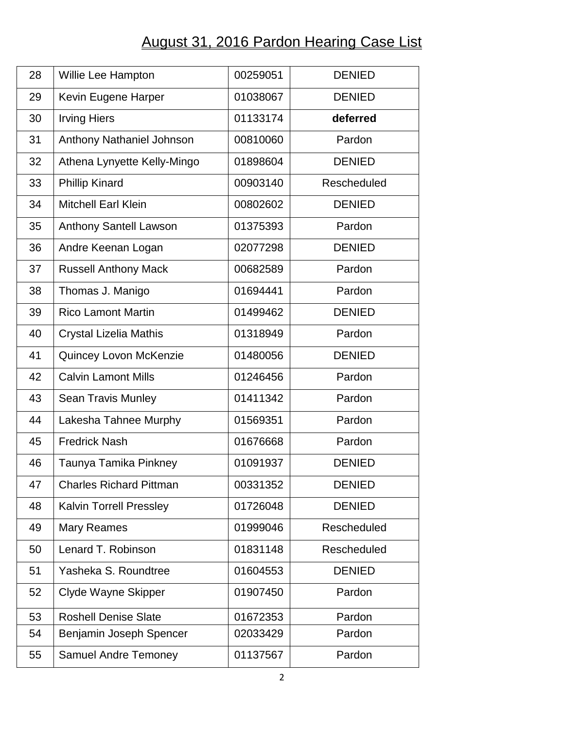## August 31, 2016 Pardon Hearing Case List

| 28 | Willie Lee Hampton             | 00259051 | <b>DENIED</b> |
|----|--------------------------------|----------|---------------|
| 29 | Kevin Eugene Harper            | 01038067 | <b>DENIED</b> |
| 30 | <b>Irving Hiers</b>            | 01133174 | deferred      |
| 31 | Anthony Nathaniel Johnson      | 00810060 | Pardon        |
| 32 | Athena Lynyette Kelly-Mingo    | 01898604 | <b>DENIED</b> |
| 33 | <b>Phillip Kinard</b>          | 00903140 | Rescheduled   |
| 34 | <b>Mitchell Earl Klein</b>     | 00802602 | <b>DENIED</b> |
| 35 | <b>Anthony Santell Lawson</b>  | 01375393 | Pardon        |
| 36 | Andre Keenan Logan             | 02077298 | <b>DENIED</b> |
| 37 | <b>Russell Anthony Mack</b>    | 00682589 | Pardon        |
| 38 | Thomas J. Manigo               | 01694441 | Pardon        |
| 39 | <b>Rico Lamont Martin</b>      | 01499462 | <b>DENIED</b> |
| 40 | Crystal Lizelia Mathis         | 01318949 | Pardon        |
| 41 | Quincey Lovon McKenzie         | 01480056 | <b>DENIED</b> |
| 42 | <b>Calvin Lamont Mills</b>     | 01246456 | Pardon        |
| 43 | <b>Sean Travis Munley</b>      | 01411342 | Pardon        |
| 44 | Lakesha Tahnee Murphy          | 01569351 | Pardon        |
| 45 | <b>Fredrick Nash</b>           | 01676668 | Pardon        |
| 46 | Taunya Tamika Pinkney          | 01091937 | <b>DENIED</b> |
| 47 | <b>Charles Richard Pittman</b> | 00331352 | <b>DENIED</b> |
| 48 | <b>Kalvin Torrell Pressley</b> | 01726048 | <b>DENIED</b> |
| 49 | <b>Mary Reames</b>             | 01999046 | Rescheduled   |
| 50 | Lenard T. Robinson             | 01831148 | Rescheduled   |
| 51 | Yasheka S. Roundtree           | 01604553 | <b>DENIED</b> |
| 52 | Clyde Wayne Skipper            | 01907450 | Pardon        |
| 53 | <b>Roshell Denise Slate</b>    | 01672353 | Pardon        |
| 54 | Benjamin Joseph Spencer        | 02033429 | Pardon        |
| 55 | <b>Samuel Andre Temoney</b>    | 01137567 | Pardon        |